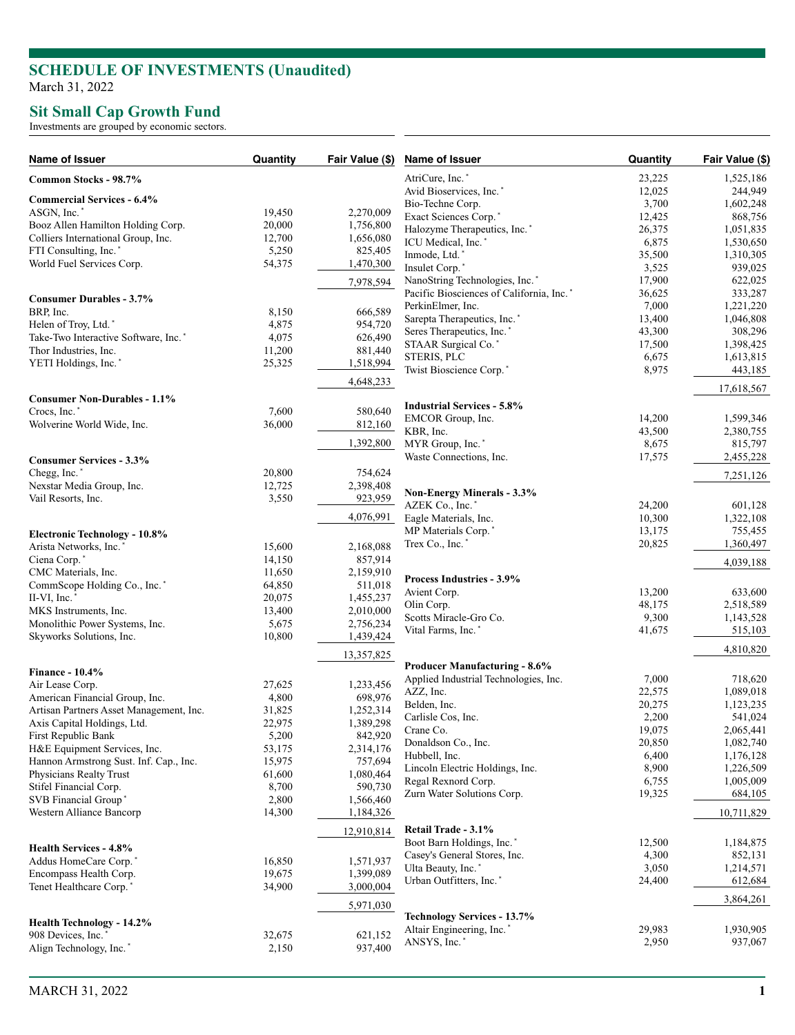## **SCHEDULE OF INVESTMENTS (Unaudited )** March 31, 2022

## **Sit Small Cap Growth Fund**

Investments are grouped by economic sectors.

| Name of Issuer                                   | Quantity | Fair Value (\$) | Name of Issuer                           | Quantity         | Fair Value (\$)      |
|--------------------------------------------------|----------|-----------------|------------------------------------------|------------------|----------------------|
| Common Stocks - 98.7%                            |          |                 | AtriCure, Inc. <sup>*</sup>              | 23,225           | 1,525,186            |
|                                                  |          |                 | Avid Bioservices, Inc. <sup>*</sup>      | 12,025           | 244,949              |
| <b>Commercial Services - 6.4%</b><br>ASGN, Inc.' | 19,450   | 2,270,009       | Bio-Techne Corp.                         | 3,700            | 1,602,248            |
| Booz Allen Hamilton Holding Corp.                | 20,000   | 1,756,800       | Exact Sciences Corp.*                    | 12,425           | 868,756              |
| Colliers International Group, Inc.               | 12,700   | 1,656,080       | Halozyme Therapeutics, Inc.*             | 26,375           | 1,051,835            |
| FTI Consulting, Inc.*                            | 5,250    | 825,405         | ICU Medical, Inc.*                       | 6,875            | 1,530,650            |
| World Fuel Services Corp.                        | 54,375   | 1,470,300       | Inmode, Ltd.*                            | 35,500           | 1,310,305            |
|                                                  |          |                 | Insulet Corp.*                           | 3,525            | 939,025              |
|                                                  |          | 7,978,594       | NanoString Technologies, Inc.*           | 17,900           | 622,025              |
| <b>Consumer Durables - 3.7%</b>                  |          |                 | Pacific Biosciences of California, Inc.* | 36,625           | 333,287              |
| BRP, Inc.                                        | 8,150    | 666,589         | PerkinElmer, Inc.                        | 7,000            | 1,221,220            |
| Helen of Troy, Ltd.*                             | 4,875    | 954,720         | Sarepta Therapeutics, Inc.*              | 13,400           | 1,046,808            |
| Take-Two Interactive Software, Inc.*             | 4,075    | 626,490         | Seres Therapeutics, Inc.'                | 43,300           | 308,296              |
| Thor Industries, Inc.                            | 11,200   | 881,440         | STAAR Surgical Co.'                      | 17,500           | 1,398,425            |
| YETI Holdings, Inc.*                             | 25,325   | 1,518,994       | STERIS, PLC                              | 6,675            | 1,613,815            |
|                                                  |          | 4,648,233       | Twist Bioscience Corp.*                  | 8,975            | 443,185              |
| <b>Consumer Non-Durables - 1.1%</b>              |          |                 |                                          |                  | 17,618,567           |
| Crocs, Inc. <sup>*</sup>                         | 7,600    | 580,640         | <b>Industrial Services - 5.8%</b>        |                  |                      |
| Wolverine World Wide, Inc.                       | 36,000   | 812,160         | EMCOR Group, Inc.                        | 14,200           | 1,599,346            |
|                                                  |          |                 | KBR, Inc.                                | 43,500           | 2,380,755            |
|                                                  |          | 1,392,800       | MYR Group, Inc.'                         | 8,675            | 815,797              |
| <b>Consumer Services - 3.3%</b>                  |          |                 | Waste Connections, Inc.                  | 17,575           | 2,455,228            |
| Chegg, Inc.*                                     | 20,800   | 754,624         |                                          |                  | 7,251,126            |
| Nexstar Media Group, Inc.                        | 12,725   | 2,398,408       |                                          |                  |                      |
| Vail Resorts, Inc.                               | 3,550    | 923,959         | <b>Non-Energy Minerals - 3.3%</b>        |                  |                      |
|                                                  |          | 4,076,991       | AZEK Co., Inc.*<br>Eagle Materials, Inc. | 24,200<br>10,300 | 601,128<br>1,322,108 |
|                                                  |          |                 | MP Materials Corp.'                      |                  |                      |
| <b>Electronic Technology - 10.8%</b>             |          |                 |                                          | 13,175           | 755,455<br>1,360,497 |
| Arista Networks, Inc.                            | 15,600   | 2,168,088       | Trex Co., Inc.*                          | 20,825           |                      |
| Ciena Corp.*                                     | 14,150   | 857,914         |                                          |                  | 4,039,188            |
| CMC Materials, Inc.                              | 11,650   | 2,159,910       | Process Industries - 3.9%                |                  |                      |
| CommScope Holding Co., Inc.*                     | 64,850   | 511,018         | Avient Corp.                             | 13,200           | 633,600              |
| II-VI, Inc.                                      | 20,075   | 1,455,237       | Olin Corp.                               | 48,175           | 2,518,589            |
| MKS Instruments, Inc.                            | 13,400   | 2,010,000       | Scotts Miracle-Gro Co.                   | 9,300            | 1,143,528            |
| Monolithic Power Systems, Inc.                   | 5,675    | 2,756,234       | Vital Farms, Inc.                        | 41,675           | 515,103              |
| Skyworks Solutions, Inc.                         | 10,800   | 1,439,424       |                                          |                  | 4,810,820            |
|                                                  |          | 13,357,825      | <b>Producer Manufacturing - 8.6%</b>     |                  |                      |
| <b>Finance - 10.4%</b>                           |          |                 | Applied Industrial Technologies, Inc.    | 7,000            | 718,620              |
| Air Lease Corp.                                  | 27,625   | 1,233,456       | AZZ, Inc.                                | 22,575           | 1,089,018            |
| American Financial Group, Inc.                   | 4,800    | 698,976         | Belden, Inc.                             | 20,275           | 1,123,235            |
| Artisan Partners Asset Management, Inc.          | 31,825   | 1,252,314       | Carlisle Cos, Inc.                       | 2,200            | 541,024              |
| Axis Capital Holdings, Ltd.                      | 22,975   | 1,389,298       | Crane Co.                                | 19,075           | 2,065,441            |
| First Republic Bank                              | 5,200    | 842,920         | Donaldson Co., Inc.                      | 20,850           | 1,082,740            |
| H&E Equipment Services, Inc.                     | 53,175   | 2,314,176       | Hubbell, Inc.                            | 6,400            | 1,176,128            |
| Hannon Armstrong Sust. Inf. Cap., Inc.           | 15,975   | 757,694         | Lincoln Electric Holdings, Inc.          | 8,900            | 1,226,509            |
| Physicians Realty Trust                          | 61,600   | 1,080,464       | Regal Rexnord Corp.                      | 6,755            | 1,005,009            |
| Stifel Financial Corp.                           | 8,700    | 590,730         | Zurn Water Solutions Corp.               | 19,325           | 684,105              |
| SVB Financial Group*                             | 2,800    | 1,566,460       |                                          |                  |                      |
| Western Alliance Bancorp                         | 14,300   | 1,184,326       |                                          |                  | 10,711,829           |
|                                                  |          | 12,910,814      | Retail Trade - 3.1%                      |                  |                      |
| <b>Health Services - 4.8%</b>                    |          |                 | Boot Barn Holdings, Inc.*                | 12,500           | 1,184,875            |
| Addus HomeCare Corp.                             | 16,850   | 1,571,937       | Casey's General Stores, Inc.             | 4,300            | 852,131              |
| Encompass Health Corp.                           | 19,675   | 1,399,089       | Ulta Beauty, Inc. <sup>*</sup>           | 3,050            | 1,214,571            |
| Tenet Healthcare Corp. <sup>*</sup>              | 34,900   | 3,000,004       | Urban Outfitters, Inc.*                  | 24,400           | 612,684              |
|                                                  |          | 5,971,030       |                                          |                  | 3,864,261            |
| Health Technology - 14.2%                        |          |                 | <b>Technology Services - 13.7%</b>       |                  |                      |
| 908 Devices, Inc.                                | 32,675   | 621,152         | Altair Engineering, Inc.*                | 29,983           | 1,930,905            |
| Align Technology, Inc. <sup>*</sup>              | 2,150    | 937,400         | ANSYS, Inc.*                             | 2,950            | 937,067              |
|                                                  |          |                 |                                          |                  |                      |